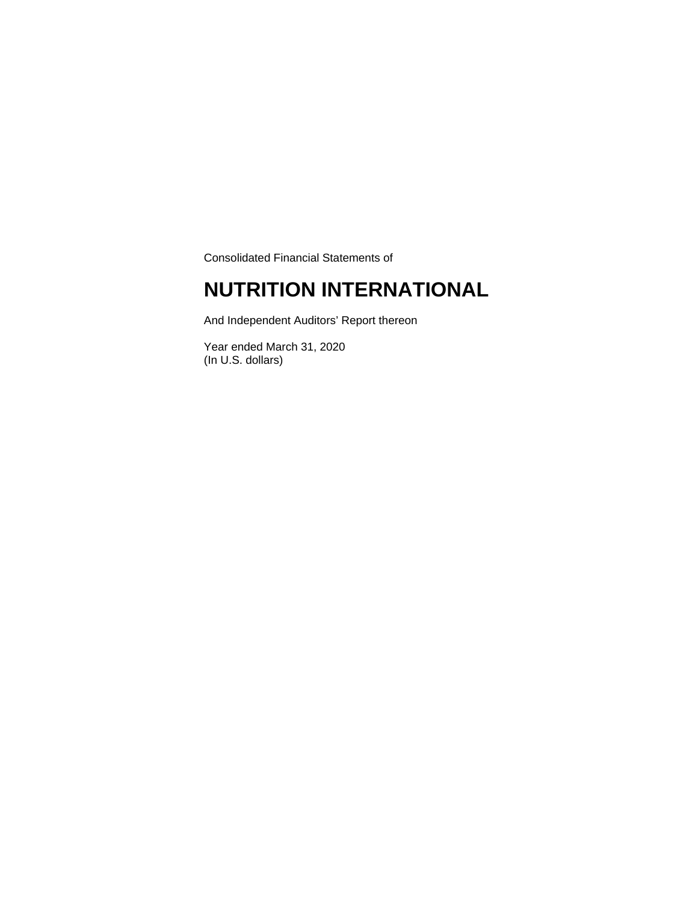Consolidated Financial Statements of

### **NUTRITION INTERNATIONAL**

And Independent Auditors' Report thereon

Year ended March 31, 2020 (In U.S. dollars)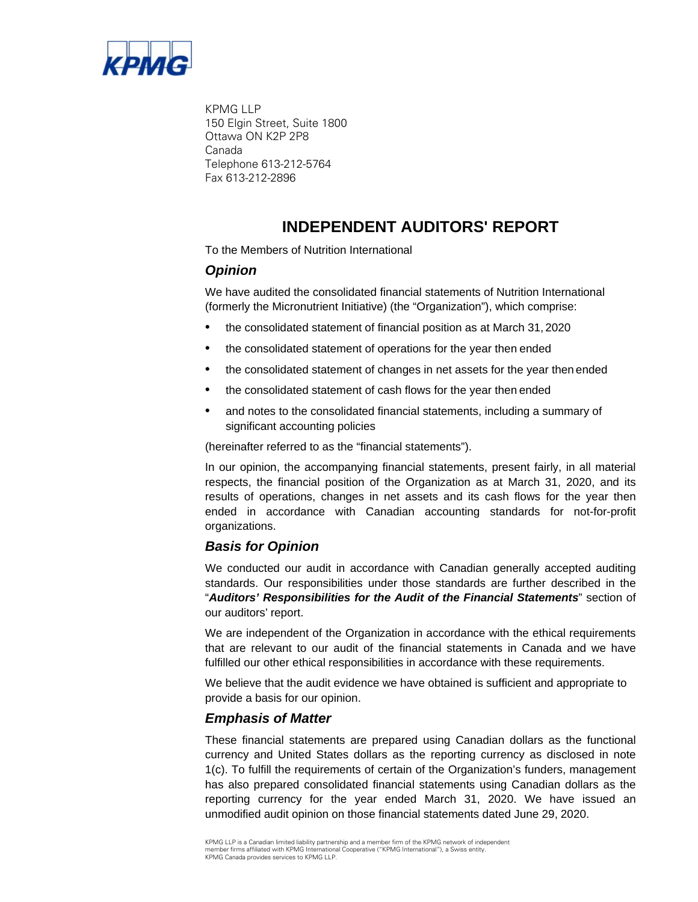

KPMG LLP 150 Elgin Street, Suite 1800 Ottawa ON K2P 2P8 Canada Telephone 613-212-5764 Fax 613-212-2896

### **INDEPENDENT AUDITORS' REPORT**

To the Members of Nutrition International

### *Opinion*

We have audited the consolidated financial statements of Nutrition International (formerly the Micronutrient Initiative) (the "Organization"), which comprise:

- the consolidated statement of financial position as at March 31, 2020
- the consolidated statement of operations for the year then ended
- the consolidated statement of changes in net assets for the year then ended
- the consolidated statement of cash flows for the year then ended
- and notes to the consolidated financial statements, including a summary of significant accounting policies

(hereinafter referred to as the "financial statements").

In our opinion, the accompanying financial statements, present fairly, in all material respects, the financial position of the Organization as at March 31, 2020, and its results of operations, changes in net assets and its cash flows for the year then ended in accordance with Canadian accounting standards for not-for-profit organizations.

### *Basis for Opinion*

We conducted our audit in accordance with Canadian generally accepted auditing standards. Our responsibilities under those standards are further described in the "*Auditors' Responsibilities for the Audit of the Financial Statements*" section of our auditors' report.

We are independent of the Organization in accordance with the ethical requirements that are relevant to our audit of the financial statements in Canada and we have fulfilled our other ethical responsibilities in accordance with these requirements.

We believe that the audit evidence we have obtained is sufficient and appropriate to provide a basis for our opinion.

### *Emphasis of Matter*

These financial statements are prepared using Canadian dollars as the functional currency and United States dollars as the reporting currency as disclosed in note 1(c). To fulfill the requirements of certain of the Organization's funders, management has also prepared consolidated financial statements using Canadian dollars as the reporting currency for the year ended March 31, 2020. We have issued an unmodified audit opinion on those financial statements dated June 29, 2020.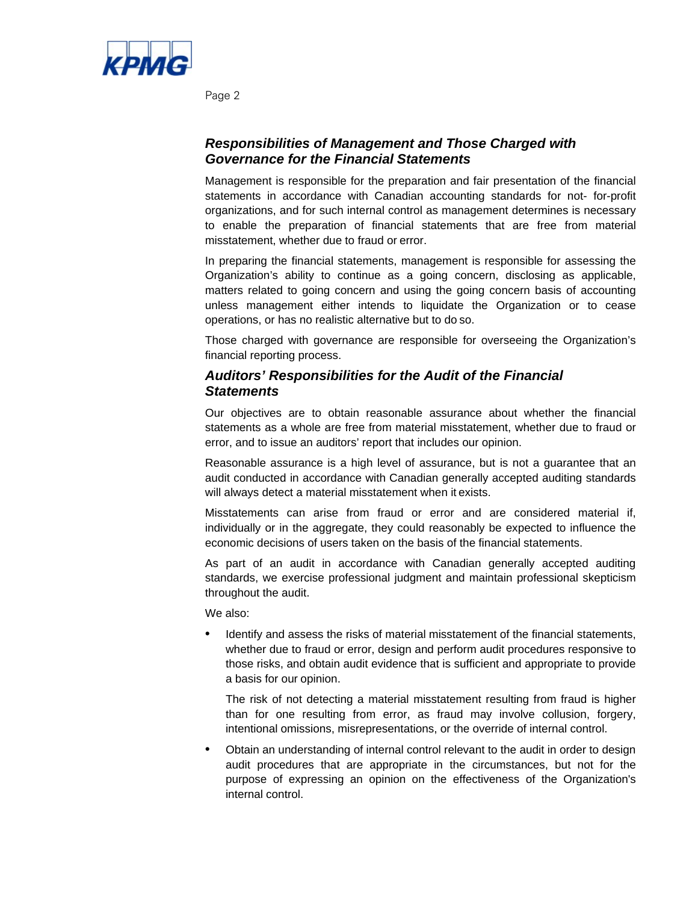

Page 2

### *Responsibilities of Management and Those Charged with Governance for the Financial Statements*

Management is responsible for the preparation and fair presentation of the financial statements in accordance with Canadian accounting standards for not- for-profit organizations, and for such internal control as management determines is necessary to enable the preparation of financial statements that are free from material misstatement, whether due to fraud or error.

In preparing the financial statements, management is responsible for assessing the Organization's ability to continue as a going concern, disclosing as applicable, matters related to going concern and using the going concern basis of accounting unless management either intends to liquidate the Organization or to cease operations, or has no realistic alternative but to do so.

Those charged with governance are responsible for overseeing the Organization's financial reporting process.

### *Auditors' Responsibilities for the Audit of the Financial Statements*

Our objectives are to obtain reasonable assurance about whether the financial statements as a whole are free from material misstatement, whether due to fraud or error, and to issue an auditors' report that includes our opinion.

Reasonable assurance is a high level of assurance, but is not a guarantee that an audit conducted in accordance with Canadian generally accepted auditing standards will always detect a material misstatement when it exists.

Misstatements can arise from fraud or error and are considered material if, individually or in the aggregate, they could reasonably be expected to influence the economic decisions of users taken on the basis of the financial statements.

As part of an audit in accordance with Canadian generally accepted auditing standards, we exercise professional judgment and maintain professional skepticism throughout the audit.

We also:

• Identify and assess the risks of material misstatement of the financial statements, whether due to fraud or error, design and perform audit procedures responsive to those risks, and obtain audit evidence that is sufficient and appropriate to provide a basis for our opinion.

 The risk of not detecting a material misstatement resulting from fraud is higher than for one resulting from error, as fraud may involve collusion, forgery, intentional omissions, misrepresentations, or the override of internal control.

• Obtain an understanding of internal control relevant to the audit in order to design audit procedures that are appropriate in the circumstances, but not for the purpose of expressing an opinion on the effectiveness of the Organization's internal control.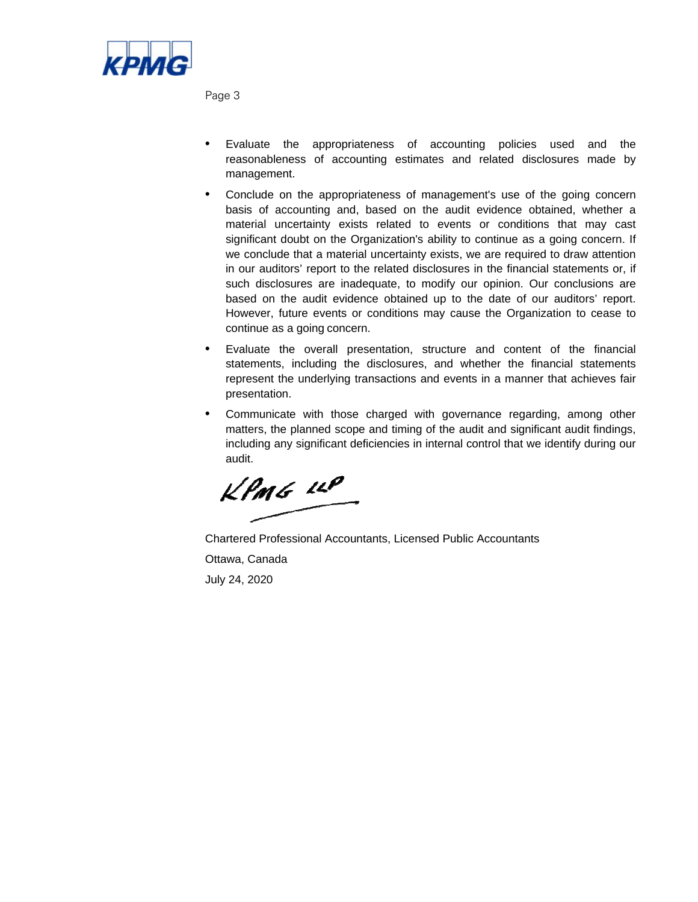

Page 3

- Evaluate the appropriateness of accounting policies used and the reasonableness of accounting estimates and related disclosures made by management.
- Conclude on the appropriateness of management's use of the going concern basis of accounting and, based on the audit evidence obtained, whether a material uncertainty exists related to events or conditions that may cast significant doubt on the Organization's ability to continue as a going concern. If we conclude that a material uncertainty exists, we are required to draw attention in our auditors' report to the related disclosures in the financial statements or, if such disclosures are inadequate, to modify our opinion. Our conclusions are based on the audit evidence obtained up to the date of our auditors' report. However, future events or conditions may cause the Organization to cease to continue as a going concern.
- Evaluate the overall presentation, structure and content of the financial statements, including the disclosures, and whether the financial statements represent the underlying transactions and events in a manner that achieves fair presentation.
- Communicate with those charged with governance regarding, among other matters, the planned scope and timing of the audit and significant audit findings, including any significant deficiencies in internal control that we identify during our audit.

 $k$ *Pm<sub>6</sub>*  $\mu$ <sup>p</sup>

Chartered Professional Accountants, Licensed Public Accountants Ottawa, Canada July 24, 2020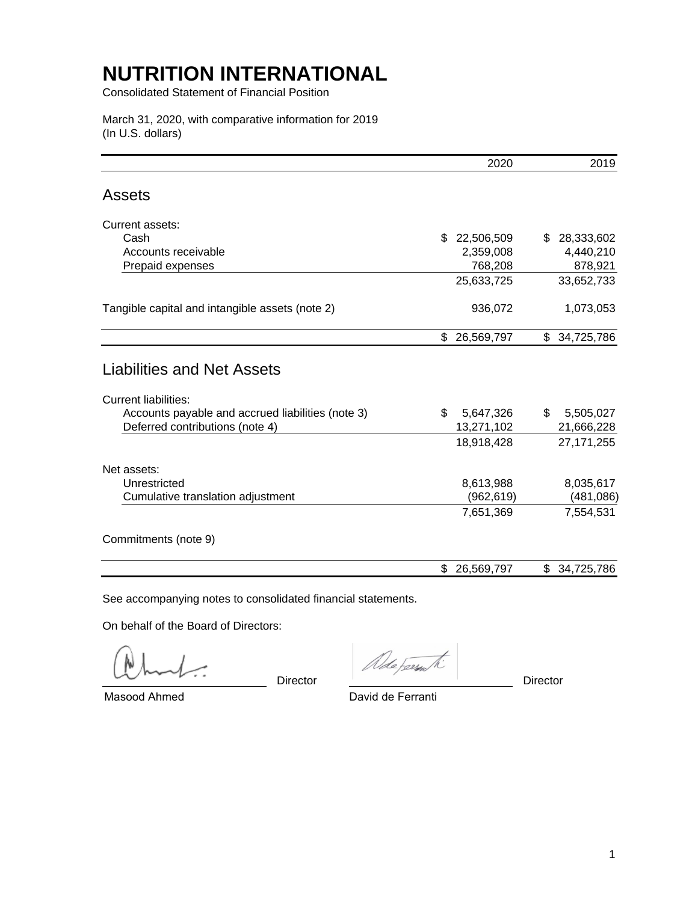Consolidated Statement of Financial Position

March 31, 2020, with comparative information for 2019 (In U.S. dollars)

|                                                                  |    | 2020       | 2019             |
|------------------------------------------------------------------|----|------------|------------------|
| <b>Assets</b>                                                    |    |            |                  |
| Current assets:                                                  |    |            |                  |
| Cash                                                             | S. | 22,506,509 | \$<br>28,333,602 |
| Accounts receivable                                              |    | 2,359,008  | 4,440,210        |
| Prepaid expenses                                                 |    | 768,208    | 878,921          |
|                                                                  |    | 25,633,725 | 33,652,733       |
| Tangible capital and intangible assets (note 2)                  |    | 936,072    | 1,073,053        |
|                                                                  | \$ | 26,569,797 | \$<br>34,725,786 |
| <b>Liabilities and Net Assets</b><br><b>Current liabilities:</b> |    |            |                  |
| Accounts payable and accrued liabilities (note 3)                | \$ | 5,647,326  | \$<br>5,505,027  |
| Deferred contributions (note 4)                                  |    | 13,271,102 | 21,666,228       |
|                                                                  |    | 18,918,428 | 27, 171, 255     |
| Net assets:                                                      |    |            |                  |
| Unrestricted                                                     |    | 8,613,988  | 8,035,617        |
| Cumulative translation adjustment                                |    | (962, 619) | (481, 086)       |
|                                                                  |    | 7,651,369  | 7,554,531        |
| Commitments (note 9)                                             |    |            |                  |
|                                                                  | \$ | 26,569,797 | \$<br>34,725,786 |

See accompanying notes to consolidated financial statements.

On behalf of the Board of Directors:

Director Director Director Director Director

Ade Ferm

Masood Ahmed **David de Ferranti**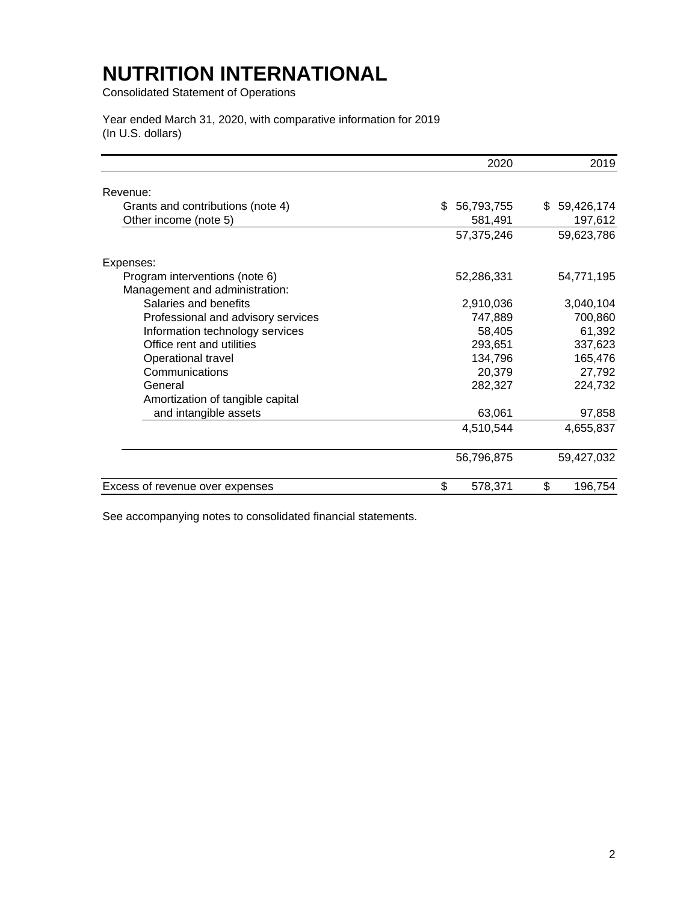Consolidated Statement of Operations

Year ended March 31, 2020, with comparative information for 2019 (In U.S. dollars)

|                                    | 2020             | 2019              |
|------------------------------------|------------------|-------------------|
| Revenue:                           |                  |                   |
| Grants and contributions (note 4)  | 56,793,755<br>\$ | 59,426,174<br>\$. |
| Other income (note 5)              | 581,491          | 197,612           |
|                                    | 57,375,246       | 59,623,786        |
| Expenses:                          |                  |                   |
| Program interventions (note 6)     | 52,286,331       | 54,771,195        |
| Management and administration:     |                  |                   |
| Salaries and benefits              | 2,910,036        | 3,040,104         |
| Professional and advisory services | 747,889          | 700,860           |
| Information technology services    | 58,405           | 61,392            |
| Office rent and utilities          | 293,651          | 337,623           |
| Operational travel                 | 134,796          | 165,476           |
| Communications                     | 20,379           | 27,792            |
| General                            | 282,327          | 224,732           |
| Amortization of tangible capital   |                  |                   |
| and intangible assets              | 63,061           | 97,858            |
|                                    | 4,510,544        | 4,655,837         |
|                                    | 56,796,875       | 59,427,032        |
| Excess of revenue over expenses    | \$<br>578,371    | 196,754<br>\$     |

See accompanying notes to consolidated financial statements.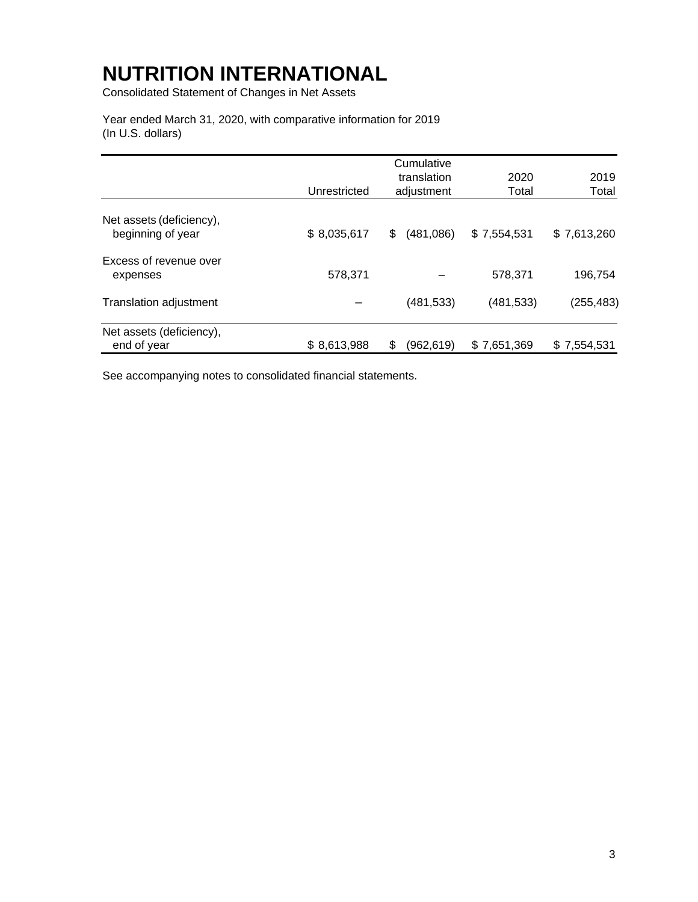Consolidated Statement of Changes in Net Assets

Year ended March 31, 2020, with comparative information for 2019 (In U.S. dollars)

|                                               | Unrestricted | Cumulative<br>translation<br>adjustment | 2020<br>Total | 2019<br>Total |
|-----------------------------------------------|--------------|-----------------------------------------|---------------|---------------|
| Net assets (deficiency),<br>beginning of year | \$8,035,617  | \$<br>(481,086)                         | \$7,554,531   | \$7,613,260   |
| Excess of revenue over<br>expenses            | 578,371      |                                         | 578,371       | 196,754       |
| <b>Translation adjustment</b>                 |              | (481,533)                               | (481, 533)    | (255, 483)    |
| Net assets (deficiency),<br>end of year       | \$8,613,988  | \$<br>(962,619)                         | \$7,651,369   | \$7,554,531   |

See accompanying notes to consolidated financial statements.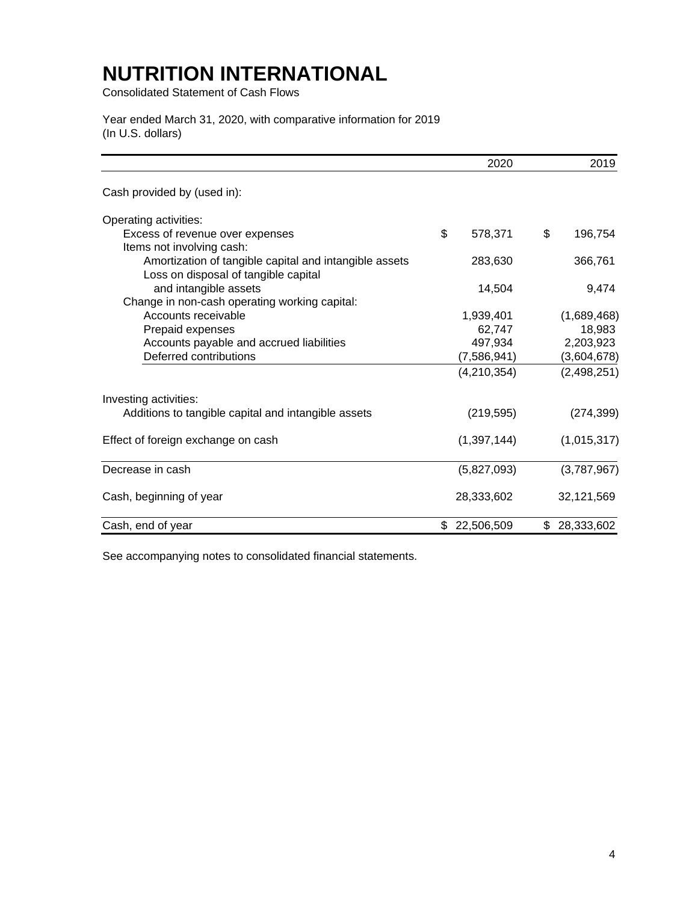Consolidated Statement of Cash Flows

Year ended March 31, 2020, with comparative information for 2019 (In U.S. dollars)

|                                                                                                | 2020          | 2019             |
|------------------------------------------------------------------------------------------------|---------------|------------------|
| Cash provided by (used in):                                                                    |               |                  |
| Operating activities:                                                                          |               |                  |
| Excess of revenue over expenses                                                                | \$<br>578,371 | \$<br>196,754    |
| Items not involving cash:                                                                      |               |                  |
| Amortization of tangible capital and intangible assets<br>Loss on disposal of tangible capital | 283,630       | 366,761          |
| and intangible assets                                                                          | 14,504        | 9,474            |
| Change in non-cash operating working capital:                                                  |               |                  |
| Accounts receivable                                                                            | 1,939,401     | (1,689,468)      |
| Prepaid expenses                                                                               | 62,747        | 18,983           |
| Accounts payable and accrued liabilities                                                       | 497,934       | 2,203,923        |
| Deferred contributions                                                                         | (7,586,941)   | (3,604,678)      |
|                                                                                                | (4,210,354)   | (2,498,251)      |
| Investing activities:                                                                          |               |                  |
| Additions to tangible capital and intangible assets                                            | (219, 595)    | (274, 399)       |
| Effect of foreign exchange on cash                                                             | (1, 397, 144) | (1,015,317)      |
| Decrease in cash                                                                               | (5,827,093)   | (3,787,967)      |
| Cash, beginning of year                                                                        | 28,333,602    | 32,121,569       |
| Cash, end of year                                                                              | \$22,506,509  | \$<br>28,333,602 |

See accompanying notes to consolidated financial statements.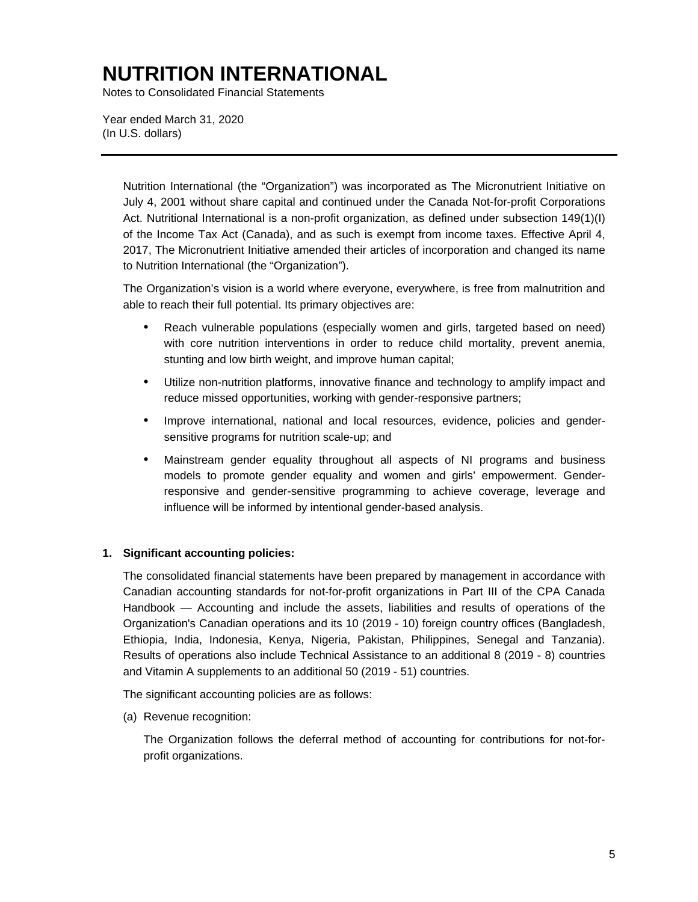Notes to Consolidated Financial Statements

Year ended March 31, 2020 (In U.S. dollars)

> Nutrition International (the "Organization") was incorporated as The Micronutrient Initiative on July 4, 2001 without share capital and continued under the Canada Not-for-profit Corporations Act. Nutritional International is a non-profit organization, as defined under subsection 149(1)(I) of the Income Tax Act (Canada), and as such is exempt from income taxes. Effective April 4, 2017, The Micronutrient Initiative amended their articles of incorporation and changed its name to Nutrition International (the "Organization").

> The Organization's vision is a world where everyone, everywhere, is free from malnutrition and able to reach their full potential. Its primary objectives are:

- Reach vulnerable populations (especially women and girls, targeted based on need) with core nutrition interventions in order to reduce child mortality, prevent anemia, stunting and low birth weight, and improve human capital;
- Utilize non-nutrition platforms, innovative finance and technology to amplify impact and reduce missed opportunities, working with gender-responsive partners;
- Improve international, national and local resources, evidence, policies and gendersensitive programs for nutrition scale-up; and
- Mainstream gender equality throughout all aspects of NI programs and business models to promote gender equality and women and girls' empowerment. Genderresponsive and gender-sensitive programming to achieve coverage, leverage and influence will be informed by intentional gender-based analysis.

#### **1. Significant accounting policies:**

The consolidated financial statements have been prepared by management in accordance with Canadian accounting standards for not-for-profit organizations in Part III of the CPA Canada Handbook — Accounting and include the assets, liabilities and results of operations of the Organization's Canadian operations and its 10 (2019 - 10) foreign country offices (Bangladesh, Ethiopia, India, Indonesia, Kenya, Nigeria, Pakistan, Philippines, Senegal and Tanzania). Results of operations also include Technical Assistance to an additional 8 (2019 - 8) countries and Vitamin A supplements to an additional 50 (2019 - 51) countries.

The significant accounting policies are as follows:

(a) Revenue recognition:

The Organization follows the deferral method of accounting for contributions for not-forprofit organizations.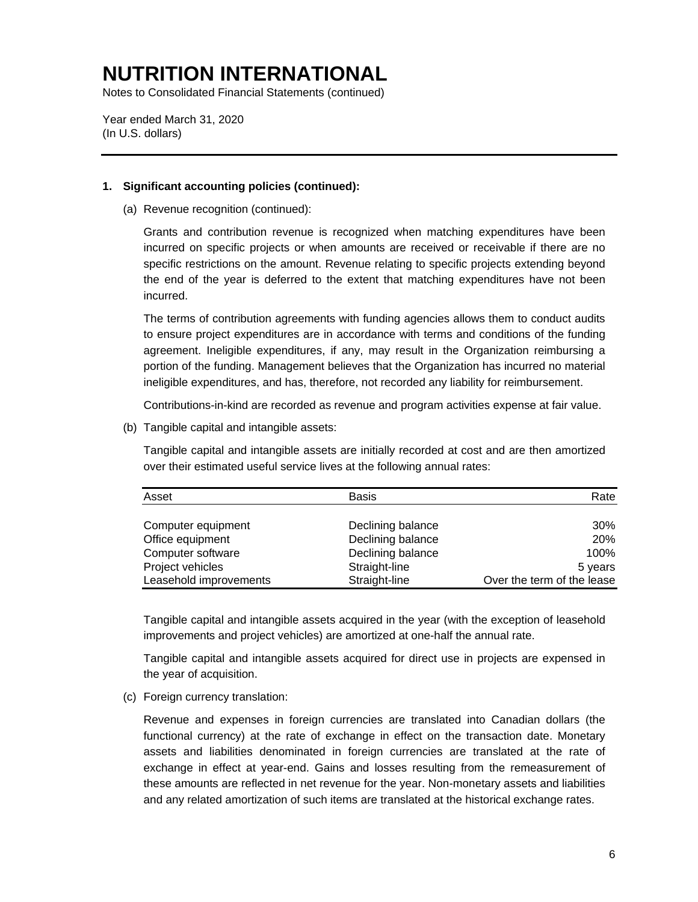Notes to Consolidated Financial Statements (continued)

Year ended March 31, 2020 (In U.S. dollars)

#### **1. Significant accounting policies (continued):**

(a) Revenue recognition (continued):

Grants and contribution revenue is recognized when matching expenditures have been incurred on specific projects or when amounts are received or receivable if there are no specific restrictions on the amount. Revenue relating to specific projects extending beyond the end of the year is deferred to the extent that matching expenditures have not been incurred.

The terms of contribution agreements with funding agencies allows them to conduct audits to ensure project expenditures are in accordance with terms and conditions of the funding agreement. Ineligible expenditures, if any, may result in the Organization reimbursing a portion of the funding. Management believes that the Organization has incurred no material ineligible expenditures, and has, therefore, not recorded any liability for reimbursement.

Contributions-in-kind are recorded as revenue and program activities expense at fair value.

(b) Tangible capital and intangible assets:

Tangible capital and intangible assets are initially recorded at cost and are then amortized over their estimated useful service lives at the following annual rates:

| Asset                  | <b>Basis</b>      | Rate                       |
|------------------------|-------------------|----------------------------|
|                        |                   |                            |
| Computer equipment     | Declining balance | 30%                        |
| Office equipment       | Declining balance | 20%                        |
| Computer software      | Declining balance | 100%                       |
| Project vehicles       | Straight-line     | 5 years                    |
| Leasehold improvements | Straight-line     | Over the term of the lease |

Tangible capital and intangible assets acquired in the year (with the exception of leasehold improvements and project vehicles) are amortized at one-half the annual rate.

Tangible capital and intangible assets acquired for direct use in projects are expensed in the year of acquisition.

(c) Foreign currency translation:

Revenue and expenses in foreign currencies are translated into Canadian dollars (the functional currency) at the rate of exchange in effect on the transaction date. Monetary assets and liabilities denominated in foreign currencies are translated at the rate of exchange in effect at year-end. Gains and losses resulting from the remeasurement of these amounts are reflected in net revenue for the year. Non-monetary assets and liabilities and any related amortization of such items are translated at the historical exchange rates.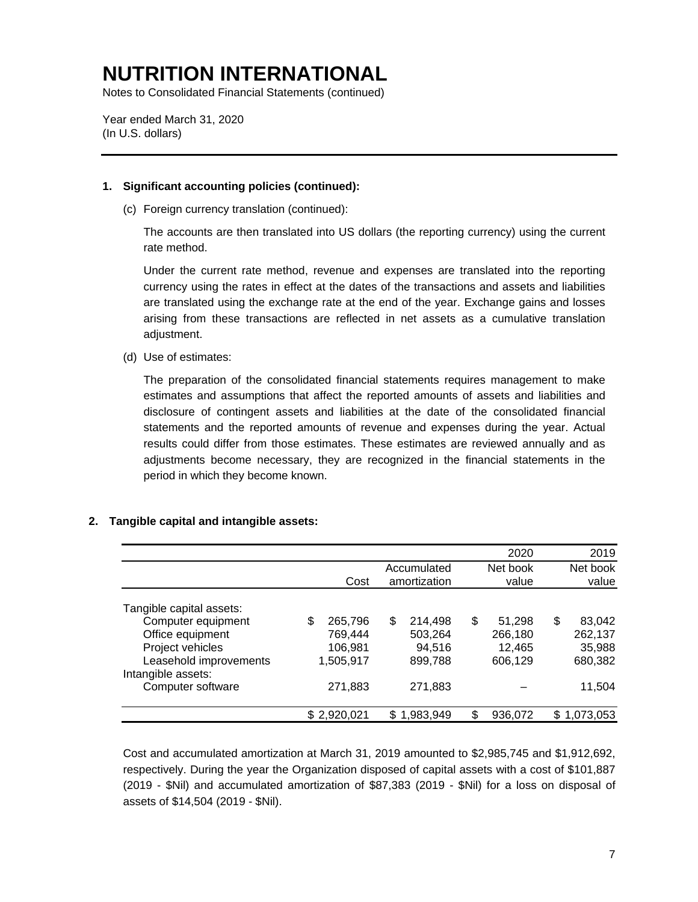Notes to Consolidated Financial Statements (continued)

Year ended March 31, 2020 (In U.S. dollars)

#### **1. Significant accounting policies (continued):**

(c) Foreign currency translation (continued):

The accounts are then translated into US dollars (the reporting currency) using the current rate method.

Under the current rate method, revenue and expenses are translated into the reporting currency using the rates in effect at the dates of the transactions and assets and liabilities are translated using the exchange rate at the end of the year. Exchange gains and losses arising from these transactions are reflected in net assets as a cumulative translation adjustment.

(d) Use of estimates:

The preparation of the consolidated financial statements requires management to make estimates and assumptions that affect the reported amounts of assets and liabilities and disclosure of contingent assets and liabilities at the date of the consolidated financial statements and the reported amounts of revenue and expenses during the year. Actual results could differ from those estimates. These estimates are reviewed annually and as adjustments become necessary, they are recognized in the financial statements in the period in which they become known.

#### **2. Tangible capital and intangible assets:**

|                          |               |               | 2020         | 2019             |
|--------------------------|---------------|---------------|--------------|------------------|
|                          |               | Accumulated   | Net book     | Net book         |
|                          | Cost          | amortization  | value        | value            |
| Tangible capital assets: |               |               |              |                  |
| Computer equipment       | \$<br>265,796 | \$<br>214.498 | \$<br>51,298 | \$<br>83,042     |
| Office equipment         | 769,444       | 503,264       | 266,180      | 262,137          |
| Project vehicles         | 106,981       | 94.516        | 12,465       | 35,988           |
| Leasehold improvements   | 1,505,917     | 899,788       | 606,129      | 680,382          |
| Intangible assets:       |               |               |              |                  |
| Computer software        | 271,883       | 271,883       |              | 11,504           |
|                          | \$2,920,021   | \$1,983,949   | 936,072      | 1,073,053<br>\$. |

Cost and accumulated amortization at March 31, 2019 amounted to \$2,985,745 and \$1,912,692, respectively. During the year the Organization disposed of capital assets with a cost of \$101,887 (2019 - \$Nil) and accumulated amortization of \$87,383 (2019 - \$Nil) for a loss on disposal of assets of \$14,504 (2019 - \$Nil).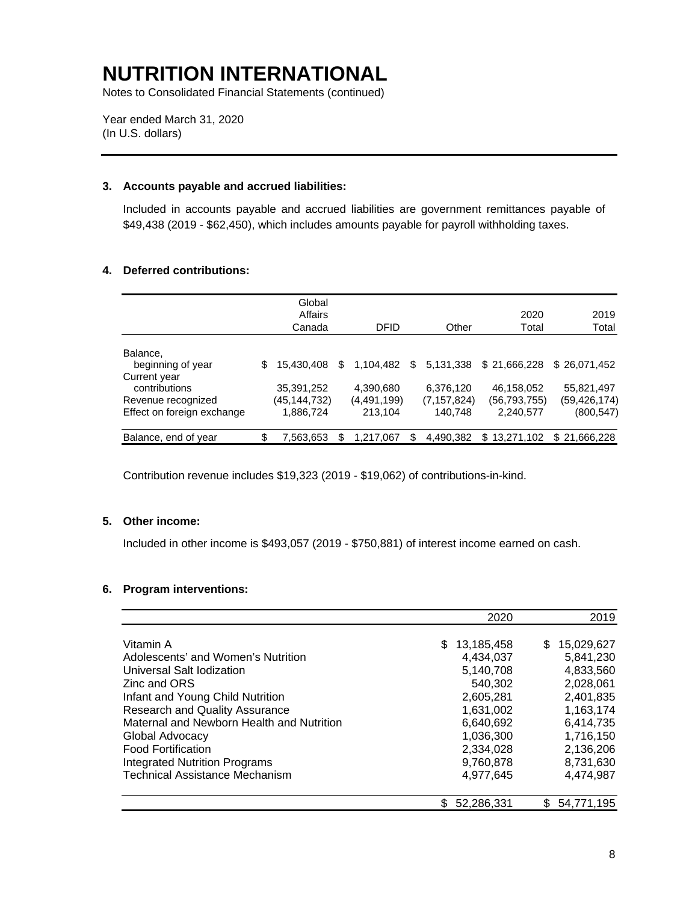Notes to Consolidated Financial Statements (continued)

Year ended March 31, 2020 (In U.S. dollars)

#### **3. Accounts payable and accrued liabilities:**

Included in accounts payable and accrued liabilities are government remittances payable of \$49,438 (2019 - \$62,450), which includes amounts payable for payroll withholding taxes.

### **4. Deferred contributions:**

|                                                  |     | Global<br>Affairs         |   |                        |    |                          | 2020                        | 2019                       |
|--------------------------------------------------|-----|---------------------------|---|------------------------|----|--------------------------|-----------------------------|----------------------------|
|                                                  |     | Canada                    |   | <b>DFID</b>            |    | Other                    | Total                       | Total                      |
| Balance,<br>beginning of year                    | \$. | 15.430.408                | S | 1.104.482              | \$ | 5,131,338                | \$21,666,228                | \$26,071,452               |
| Current year<br>contributions                    |     | 35,391,252                |   | 4,390,680              |    | 6,376,120                | 46,158,052                  | 55,821,497                 |
| Revenue recognized<br>Effect on foreign exchange |     | (45,144,732)<br>1,886,724 |   | (4,491,199)<br>213,104 |    | (7, 157, 824)<br>140,748 | (56, 793, 755)<br>2,240,577 | (59,426,174)<br>(800, 547) |
| Balance, end of year                             |     | 7,563,653                 |   | 1.217.067              | S. | 4.490.382                | \$<br>13,271,102            | \$21,666,228               |

Contribution revenue includes \$19,323 (2019 - \$19,062) of contributions-in-kind.

#### **5. Other income:**

Included in other income is \$493,057 (2019 - \$750,881) of interest income earned on cash.

#### **6. Program interventions:**

|                                           | 2020             | 2019             |
|-------------------------------------------|------------------|------------------|
| Vitamin A                                 | 13,185,458<br>S. | 15,029,627<br>S. |
| Adolescents' and Women's Nutrition        | 4.434.037        | 5,841,230        |
| Universal Salt Iodization                 | 5,140,708        | 4,833,560        |
| Zinc and ORS                              | 540,302          | 2,028,061        |
| Infant and Young Child Nutrition          | 2,605,281        | 2,401,835        |
| <b>Research and Quality Assurance</b>     | 1.631.002        | 1,163,174        |
| Maternal and Newborn Health and Nutrition | 6.640.692        | 6,414,735        |
| Global Advocacy                           | 1.036.300        | 1,716,150        |
| <b>Food Fortification</b>                 | 2,334,028        | 2,136,206        |
| <b>Integrated Nutrition Programs</b>      | 9,760,878        | 8,731,630        |
| <b>Technical Assistance Mechanism</b>     | 4.977.645        | 4,474,987        |
|                                           | 52,286,331       | 54,771,195       |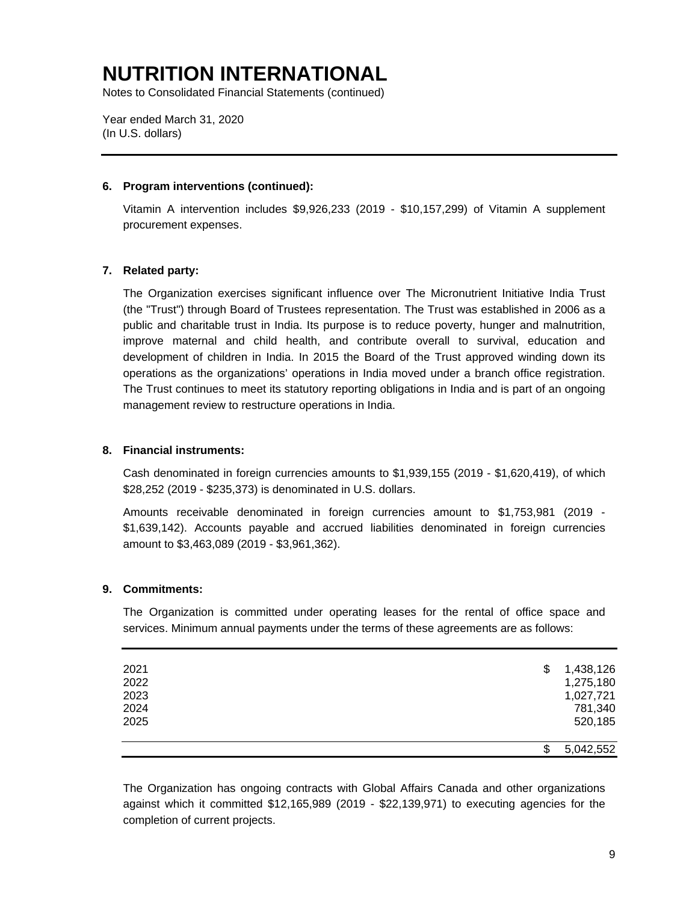Notes to Consolidated Financial Statements (continued)

Year ended March 31, 2020 (In U.S. dollars)

#### **6. Program interventions (continued):**

Vitamin A intervention includes \$9,926,233 (2019 - \$10,157,299) of Vitamin A supplement procurement expenses.

#### **7. Related party:**

The Organization exercises significant influence over The Micronutrient Initiative India Trust (the "Trust") through Board of Trustees representation. The Trust was established in 2006 as a public and charitable trust in India. Its purpose is to reduce poverty, hunger and malnutrition, improve maternal and child health, and contribute overall to survival, education and development of children in India. In 2015 the Board of the Trust approved winding down its operations as the organizations' operations in India moved under a branch office registration. The Trust continues to meet its statutory reporting obligations in India and is part of an ongoing management review to restructure operations in India.

#### **8. Financial instruments:**

Cash denominated in foreign currencies amounts to \$1,939,155 (2019 - \$1,620,419), of which \$28,252 (2019 - \$235,373) is denominated in U.S. dollars.

Amounts receivable denominated in foreign currencies amount to \$1,753,981 (2019 - \$1,639,142). Accounts payable and accrued liabilities denominated in foreign currencies amount to \$3,463,089 (2019 - \$3,961,362).

#### **9. Commitments:**

The Organization is committed under operating leases for the rental of office space and services. Minimum annual payments under the terms of these agreements are as follows:

| 2021<br>2022<br>2023<br>2024<br>2025 | \$ | 1,438,126<br>1,275,180<br>1,027,721<br>781,340<br>520,185 |
|--------------------------------------|----|-----------------------------------------------------------|
|                                      |    |                                                           |
|                                      | S  | 5,042,552                                                 |

The Organization has ongoing contracts with Global Affairs Canada and other organizations against which it committed \$12,165,989 (2019 - \$22,139,971) to executing agencies for the completion of current projects.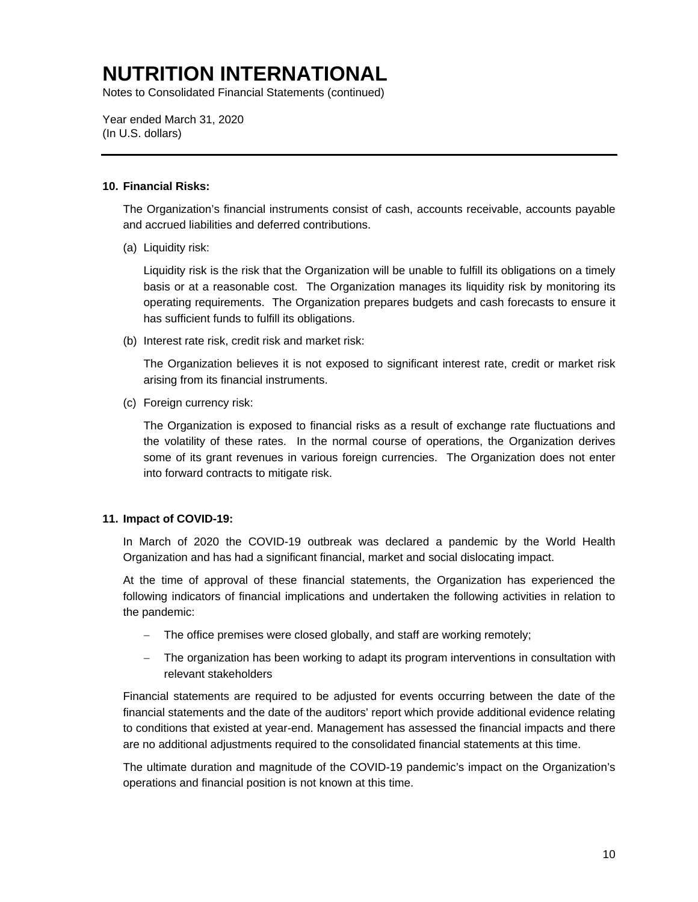Notes to Consolidated Financial Statements (continued)

Year ended March 31, 2020 (In U.S. dollars)

#### **10. Financial Risks:**

The Organization's financial instruments consist of cash, accounts receivable, accounts payable and accrued liabilities and deferred contributions.

(a) Liquidity risk:

Liquidity risk is the risk that the Organization will be unable to fulfill its obligations on a timely basis or at a reasonable cost. The Organization manages its liquidity risk by monitoring its operating requirements. The Organization prepares budgets and cash forecasts to ensure it has sufficient funds to fulfill its obligations.

(b) Interest rate risk, credit risk and market risk:

The Organization believes it is not exposed to significant interest rate, credit or market risk arising from its financial instruments.

(c) Foreign currency risk:

The Organization is exposed to financial risks as a result of exchange rate fluctuations and the volatility of these rates. In the normal course of operations, the Organization derives some of its grant revenues in various foreign currencies. The Organization does not enter into forward contracts to mitigate risk.

#### **11. Impact of COVID-19:**

In March of 2020 the COVID-19 outbreak was declared a pandemic by the World Health Organization and has had a significant financial, market and social dislocating impact.

At the time of approval of these financial statements, the Organization has experienced the following indicators of financial implications and undertaken the following activities in relation to the pandemic:

- The office premises were closed globally, and staff are working remotely;
- The organization has been working to adapt its program interventions in consultation with relevant stakeholders

Financial statements are required to be adjusted for events occurring between the date of the financial statements and the date of the auditors' report which provide additional evidence relating to conditions that existed at year-end. Management has assessed the financial impacts and there are no additional adjustments required to the consolidated financial statements at this time.

The ultimate duration and magnitude of the COVID-19 pandemic's impact on the Organization's operations and financial position is not known at this time.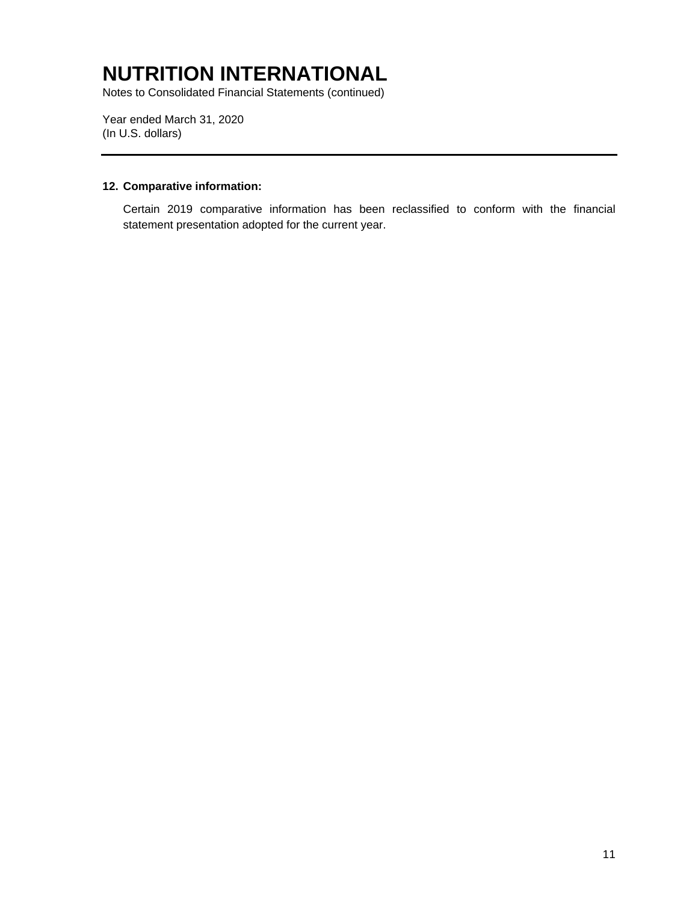Notes to Consolidated Financial Statements (continued)

Year ended March 31, 2020 (In U.S. dollars)

### **12. Comparative information:**

Certain 2019 comparative information has been reclassified to conform with the financial statement presentation adopted for the current year.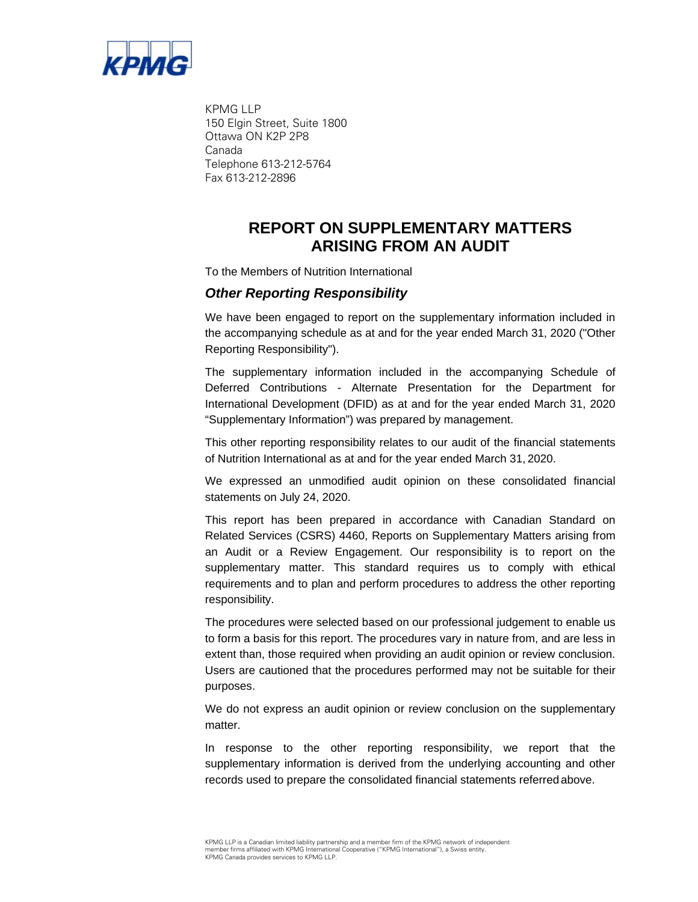

KPMG LLP 150 Elgin Street, Suite 1800 Ottawa ON K2P 2P8 Canada Telephone 613-212-5764 Fax 613-212-2896

### **REPORT ON SUPPLEMENTARY MATTERS ARISING FROM AN AUDIT**

To the Members of Nutrition International

### *Other Reporting Responsibility*

We have been engaged to report on the supplementary information included in the accompanying schedule as at and for the year ended March 31, 2020 ("Other Reporting Responsibility").

The supplementary information included in the accompanying Schedule of Deferred Contributions - Alternate Presentation for the Department for International Development (DFID) as at and for the year ended March 31, 2020 "Supplementary Information") was prepared by management.

This other reporting responsibility relates to our audit of the financial statements of Nutrition International as at and for the year ended March 31, 2020.

We expressed an unmodified audit opinion on these consolidated financial statements on July 24, 2020.

This report has been prepared in accordance with Canadian Standard on Related Services (CSRS) 4460, Reports on Supplementary Matters arising from an Audit or a Review Engagement. Our responsibility is to report on the supplementary matter. This standard requires us to comply with ethical requirements and to plan and perform procedures to address the other reporting responsibility.

The procedures were selected based on our professional judgement to enable us to form a basis for this report. The procedures vary in nature from, and are less in extent than, those required when providing an audit opinion or review conclusion. Users are cautioned that the procedures performed may not be suitable for their purposes.

We do not express an audit opinion or review conclusion on the supplementary matter.

In response to the other reporting responsibility, we report that the supplementary information is derived from the underlying accounting and other records used to prepare the consolidated financial statements referred above.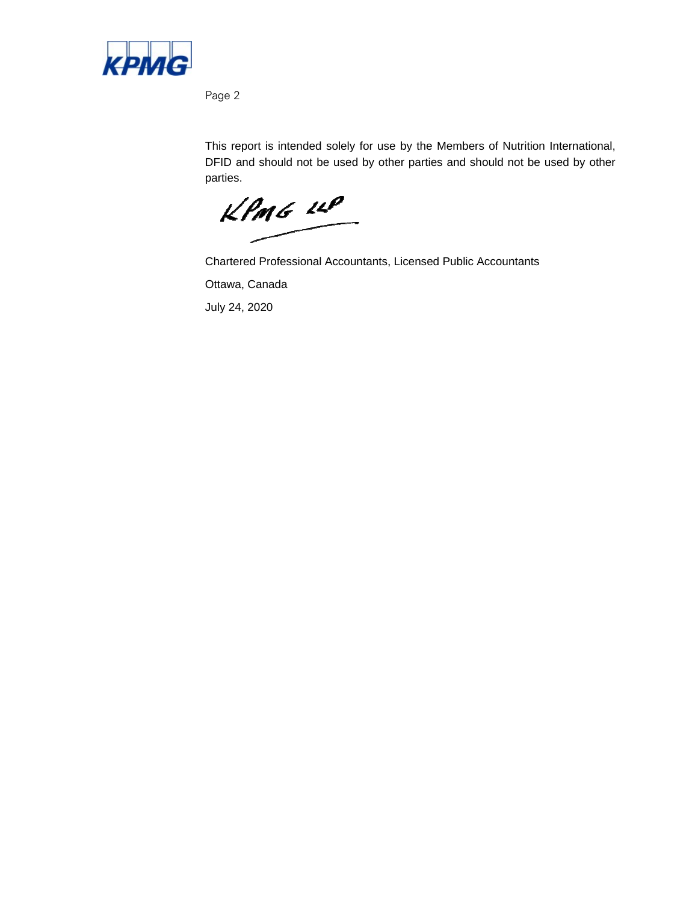

Page 2

This report is intended solely for use by the Members of Nutrition International, DFID and should not be used by other parties and should not be used by other parties.

 $k$ PmG  $11$ 

Chartered Professional Accountants, Licensed Public Accountants

Ottawa, Canada

July 24, 2020